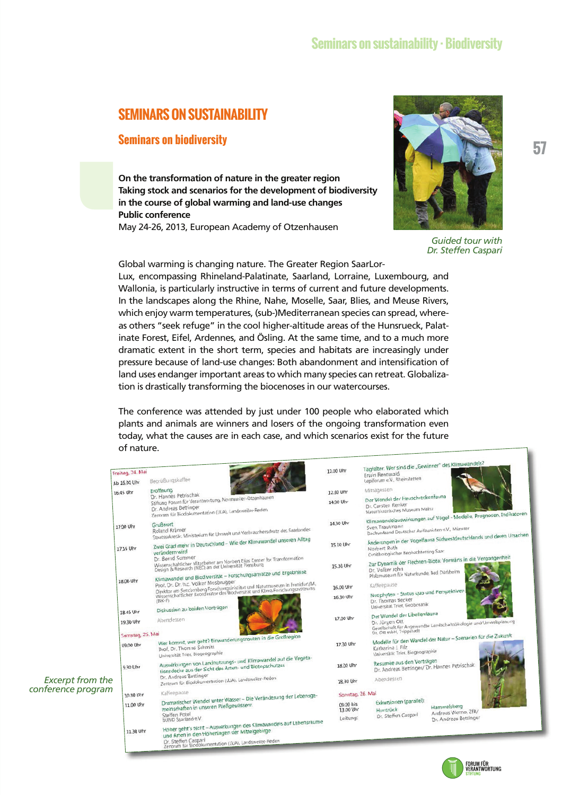## **SEMINARS ON SUSTAINABILITY**

### **Seminars on biodiversity**

**On the transformation of nature in the greater region Taking stock and scenarios for the development of biodiversity in the course of global warming and land-use changes Public conference** 

May 24-26, 2013, European Academy of Otzenhausen



*Guided tour with Dr. Steffen Caspari* 

Global warming is changing nature. The Greater Region SaarLor-Lux, encompassing Rhineland-Palatinate, Saarland, Lorraine, Luxembourg, and Wallonia, is particularly instructive in terms of current and future developments. In the landscapes along the Rhine, Nahe, Moselle, Saar, Blies, and Meuse Rivers, which enjoy warm temperatures, (sub-)Mediterranean species can spread, whereas others "seek refuge" in the cool higher-altitude areas of the Hunsrueck, Palatinate Forest, Eifel, Ardennes, and Ösling. At the same time, and to a much more dramatic extent in the short term, species and habitats are increasingly under pressure because of land-use changes: Both abandonment and intensification of land uses endanger important areas to which many species can retreat. Globalization is drastically transforming the biocenoses in our watercourses.

The conference was attended by just under 100 people who elaborated which plants and animals are winners and losers of the ongoing transformation even today, what the causes are in each case, and which scenarios exist for the future of nature. nature.

|                         | Freitag, 24. Mai                                                               |                                                                                                                                                                                                                                                                                                                                                                                                                                               |           | 12.00 Uhr                                                                                                                   | Tagfalter: Wer sind die "Gewinner" des Klimawandels?<br>Erwin Rennwald                                                                      |                                                                     |  |
|-------------------------|--------------------------------------------------------------------------------|-----------------------------------------------------------------------------------------------------------------------------------------------------------------------------------------------------------------------------------------------------------------------------------------------------------------------------------------------------------------------------------------------------------------------------------------------|-----------|-----------------------------------------------------------------------------------------------------------------------------|---------------------------------------------------------------------------------------------------------------------------------------------|---------------------------------------------------------------------|--|
|                         | Ab 16.00 Uhr                                                                   | Begrüßungskaffee                                                                                                                                                                                                                                                                                                                                                                                                                              |           |                                                                                                                             | Lepiforum e.V., Rheinstetten                                                                                                                |                                                                     |  |
| 16.45 Uhr               |                                                                                | Eröffnung                                                                                                                                                                                                                                                                                                                                                                                                                                     |           | 12.30 Uhr                                                                                                                   | Mittagessen                                                                                                                                 |                                                                     |  |
|                         |                                                                                | Dr. Hannes Petrischak<br>Stiftung Forum für Verantwortung, Nonnweiler-Otzenhausen<br>Dr. Andreas Bettinger<br>Zentrum für Biodokumentation (LUA), Landsweiler-Reden                                                                                                                                                                                                                                                                           |           | 14.00 Uhr                                                                                                                   | Der Wandel der Heuschreckenfauna<br>Dr. Carsten Renker<br>Naturhistorisches Museum Mainz                                                    |                                                                     |  |
|                         | 17.00 Uhr                                                                      | Grußwort<br>Staatssekretär, Ministerium für Umwelt und Verbraucherschutz des Saarlandes                                                                                                                                                                                                                                                                                                                                                       |           | 14.30 Uhr                                                                                                                   | Sven Trautmann<br>Dachverband Deutscher Avifaunisten e.V., Münster                                                                          | Klimawandelauswirkungen auf Vögel - Modelle, Prognosen, Indikatoren |  |
|                         | 17.15 Uhr                                                                      | Zwei Grad mehr in Deutschland - Wie der Klimawandel unseren Alltag<br>verändern wird                                                                                                                                                                                                                                                                                                                                                          | 15.00 Uhr | Änderungen in der Vogelfauna Südwestdeutschlands und deren Ursachen<br>Norbert Roth<br>Ornithologischer Beobachterring Saar |                                                                                                                                             |                                                                     |  |
|                         |                                                                                | Dr. Bernd Sommer<br>Wissenschaftlicher Mitarbeiter am Norbert Elias Center for Transformation<br>Design & Research (NEC) an der Universität Flensburg<br>Klimawandel und Biodiversität - Forschungsansätze und Ergebnisse<br>Prof. Dr. Dr. h.c. Volker Mosbrugger<br>Direktor am Senckenberg Forschungsinistitut und Naturmuseum in Frankfurt/M.<br>Wissenschaftlicher Koordinator des Biodversität und Klima Forschungszentrums<br>$(BIK-F)$ |           | 15.30 Uhr                                                                                                                   | Zur Dynamik der Flechten-Biota: Vorwärts in die Vergangenheit<br>Dr. Volker John<br>Pfalzmuseum für Naturkunde, Bad Dürkheim<br>Kaffeepause |                                                                     |  |
|                         | 18.00 Uhr                                                                      |                                                                                                                                                                                                                                                                                                                                                                                                                                               |           | 16,00 Uhr                                                                                                                   |                                                                                                                                             |                                                                     |  |
|                         |                                                                                |                                                                                                                                                                                                                                                                                                                                                                                                                                               |           | 16.30 Uhr                                                                                                                   | Neophyten - Status quo und Perspektiven<br>Dr. Thomas Becker<br>Universität Trier, Geobotanik                                               |                                                                     |  |
|                         | 18.45 Uhr                                                                      | Diskussion zu beiden Vorträgen                                                                                                                                                                                                                                                                                                                                                                                                                |           |                                                                                                                             | Der Wandel der Libellenfauna                                                                                                                |                                                                     |  |
|                         | 19.30 Uhr                                                                      | Abendessen                                                                                                                                                                                                                                                                                                                                                                                                                                    |           | 17.00 Uhr                                                                                                                   | Gesellschaft für Angewandte Landschaftsökologie und Umweltplanung<br>Dr. Ott mbH, Trippstadt                                                |                                                                     |  |
|                         | Samstag, 25. Mai<br>Wer kommt, wer geht? Einwanderungsrouten in die Großregion |                                                                                                                                                                                                                                                                                                                                                                                                                                               |           |                                                                                                                             | Modelle für den Wandel der Natur - Szenarien für die Zukunft                                                                                |                                                                     |  |
|                         | 09.00 Uhr                                                                      | Prof. Dr. Thomas Schmitt<br>Universität Trier, Biogeographie<br>Auswirkungen von Landnutzungs- und Klimawandel auf die Vegeta-<br>tionsdecke aus der Sicht des Arten- und Biotopschutzes                                                                                                                                                                                                                                                      |           | 17.30 Uhr                                                                                                                   | Katharina J. Filz<br>Universität Trier, Biogeographie                                                                                       |                                                                     |  |
|                         | 9.30 Uhr                                                                       |                                                                                                                                                                                                                                                                                                                                                                                                                                               |           | 18.00 Uhr                                                                                                                   | Resumée aus den Vorträgen<br>Dr. Andreas Bettinger/ Dr. Hannes Petrischak                                                                   |                                                                     |  |
| <b>Excerpt from the</b> |                                                                                | Dr. Andreas Bettinger<br>Zentrum für Biodokumentation (LUA), Landsweiler-Reden                                                                                                                                                                                                                                                                                                                                                                |           | 18.30 Uhr                                                                                                                   | Abendessen                                                                                                                                  |                                                                     |  |
| conference program      | 10.30 Uhr                                                                      | Kaffeepause                                                                                                                                                                                                                                                                                                                                                                                                                                   |           | Sonntag, 26. Mai                                                                                                            |                                                                                                                                             |                                                                     |  |
|                         | 11.00 Uhr                                                                      | Dramatischer Wandel unter Wasser - Die Veränderung der Lebensge-<br>meinschaften in unseren Fließgewässern                                                                                                                                                                                                                                                                                                                                    |           | 09.00 bis<br>13.00 Uhr                                                                                                      | Exkursionen (parallel):<br>Hunsrück                                                                                                         | Hammelsberg<br>Andreas Werno, ZfB/                                  |  |
|                         |                                                                                | Steffen Potel<br>BUND Saarland e.V.                                                                                                                                                                                                                                                                                                                                                                                                           |           | Leitung:                                                                                                                    | Dr. Steffen Caspari                                                                                                                         | Dr. Andreas Bettinger                                               |  |
|                         | 11.30 Uhr                                                                      | Höher geht's nicht - Auswirkungen des Klimawandels auf Lebensräume<br>und Arten in den Höhenlagen der Mittelgebirge<br>Dr. Steffen Caspari<br>für Biodokumentation (LUA), Landsweiler-Reden                                                                                                                                                                                                                                                   |           |                                                                                                                             |                                                                                                                                             |                                                                     |  |

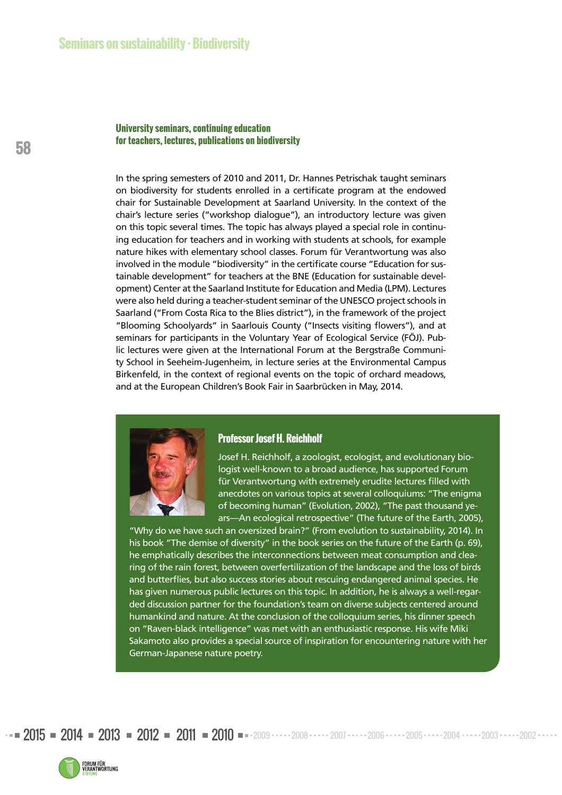### **University seminars, continuing education for teachers, lectures, publications on biodiversity**

In the spring semesters of 2010 and 2011, Dr. Hannes Petrischak taught seminars on biodiversity for students enrolled in a certificate program at the endowed chair for Sustainable Development at Saarland University. In the context of the chair's lecture series ("workshop dialogue"), an introductory lecture was given on this topic several times. The topic has always played a special role in continuing education for teachers and in working with students at schools, for example nature hikes with elementary school classes. Forum für Verantwortung was also involved in the module "biodiversity" in the certificate course "Education for sustainable development" for teachers at the BNE (Education for sustainable development) Center at the Saarland Institute for Education and Media (LPM). Lectures were also held during a teacher-student seminar of the UNESCO project schools in Saarland ("From Costa Rica to the Blies district"), in the framework of the project "Blooming Schoolyards" in Saarlouis County ("Insects visiting flowers"), and at seminars for participants in the Voluntary Year of Ecological Service (FÖJ). Public lectures were given at the International Forum at the Bergstraße Community School in Seeheim-Jugenheim, in lecture series at the Environmental Campus Birkenfeld, in the context of regional events on the topic of orchard meadows, and at the European Children's Book Fair in Saarbrücken in May, 2014.



### **Professor Josef H. Reichholf**

Josef H. Reichholf, a zoologist, ecologist, and evolutionary biologist well-known to a broad audience, has supported Forum für Verantwortung with extremely erudite lectures filled with anecdotes on various topics at several colloquiums: "The enigma of becoming human" (Evolution, 2002), "The past thousand years—An ecological retrospective" (The future of the Earth, 2005),

"Why do we have such an oversized brain?" (From evolution to sustainability, 2014). In his book "The demise of diversity" in the book series on the future of the Earth (p. 69), he emphatically describes the interconnections between meat consumption and clearing of the rain forest, between overfertilization of the landscape and the loss of birds and butterflies, but also success stories about rescuing endangered animal species. He has given numerous public lectures on this topic. In addition, he is always a well-regarded discussion partner for the foundation's team on diverse subjects centered around humankind and nature. At the conclusion of the colloquium series, his dinner speech on "Raven-black intelligence" was met with an enthusiastic response. His wife Miki Sakamoto also provides a special source of inspiration for encountering nature with her German-Japanese nature poetry.

 $2015$  =  $2014$  =  $2013$  =  $2012$  =  $2011$  =  $2010$  = -2009  $\cdots$  2008  $\cdots$  2007  $\cdots$  2006  $\cdots$  2005 $\cdots$  2004  $\cdots$  2003  $\cdots$  2002